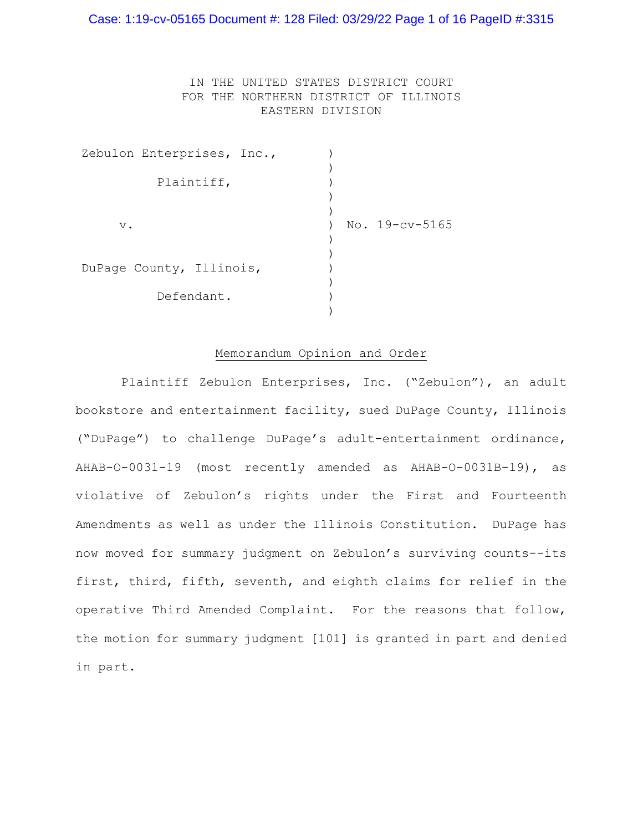# IN THE UNITED STATES DISTRICT COURT FOR THE NORTHERN DISTRICT OF ILLINOIS EASTERN DIVISION

| Zebulon Enterprises, Inc., |                |
|----------------------------|----------------|
|                            |                |
| Plaintiff,                 |                |
|                            |                |
|                            |                |
| $V$ .                      | No. 19-cv-5165 |
|                            |                |
| DuPage County, Illinois,   |                |
| Defendant.                 |                |

# Memorandum Opinion and Order

 Plaintiff Zebulon Enterprises, Inc. ("Zebulon"), an adult bookstore and entertainment facility, sued DuPage County, Illinois ("DuPage") to challenge DuPage's adult-entertainment ordinance, AHAB-O-0031-19 (most recently amended as AHAB-O-0031B-19), as violative of Zebulon's rights under the First and Fourteenth Amendments as well as under the Illinois Constitution. DuPage has now moved for summary judgment on Zebulon's surviving counts--its first, third, fifth, seventh, and eighth claims for relief in the operative Third Amended Complaint. For the reasons that follow, the motion for summary judgment [101] is granted in part and denied in part.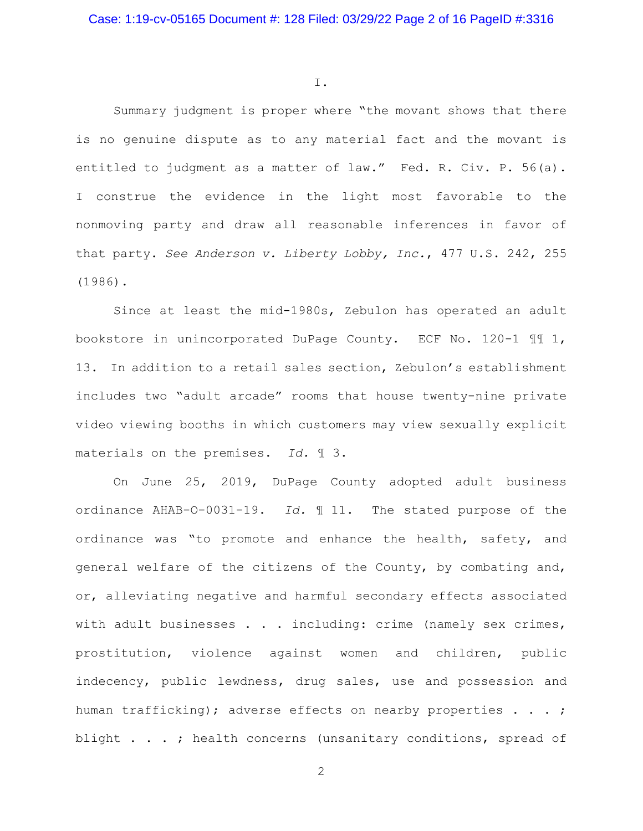I.

Summary judgment is proper where "the movant shows that there is no genuine dispute as to any material fact and the movant is entitled to judgment as a matter of law." Fed. R. Civ. P. 56(a). I construe the evidence in the light most favorable to the nonmoving party and draw all reasonable inferences in favor of that party. *See Anderson v. Liberty Lobby, Inc.*, 477 U.S. 242, 255 (1986).

Since at least the mid-1980s, Zebulon has operated an adult bookstore in unincorporated DuPage County. ECF No. 120-1 ¶¶ 1, 13. In addition to a retail sales section, Zebulon's establishment includes two "adult arcade" rooms that house twenty-nine private video viewing booths in which customers may view sexually explicit materials on the premises. *Id.* ¶ 3.

 On June 25, 2019, DuPage County adopted adult business ordinance AHAB-O-0031-19. *Id.* ¶ 11. The stated purpose of the ordinance was "to promote and enhance the health, safety, and general welfare of the citizens of the County, by combating and, or, alleviating negative and harmful secondary effects associated with adult businesses . . . including: crime (namely sex crimes, prostitution, violence against women and children, public indecency, public lewdness, drug sales, use and possession and human trafficking); adverse effects on nearby properties . . . ; blight . . . ; health concerns (unsanitary conditions, spread of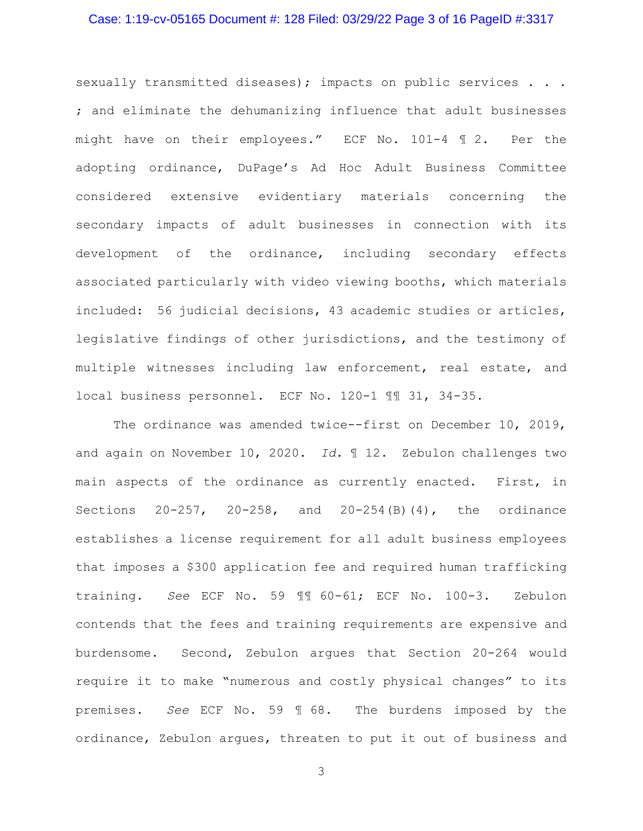#### Case: 1:19-cv-05165 Document #: 128 Filed: 03/29/22 Page 3 of 16 PageID #:3317

sexually transmitted diseases); impacts on public services . . . ; and eliminate the dehumanizing influence that adult businesses might have on their employees." ECF No. 101-4 ¶ 2. Per the adopting ordinance, DuPage's Ad Hoc Adult Business Committee considered extensive evidentiary materials concerning the secondary impacts of adult businesses in connection with its development of the ordinance, including secondary effects associated particularly with video viewing booths, which materials included: 56 judicial decisions, 43 academic studies or articles, legislative findings of other jurisdictions, and the testimony of multiple witnesses including law enforcement, real estate, and local business personnel. ECF No. 120-1 ¶¶ 31, 34-35.

The ordinance was amended twice--first on December 10, 2019, and again on November 10, 2020. *Id.* ¶ 12. Zebulon challenges two main aspects of the ordinance as currently enacted. First, in Sections 20-257, 20-258, and 20-254(B)(4), the ordinance establishes a license requirement for all adult business employees that imposes a \$300 application fee and required human trafficking training. *See* ECF No. 59 ¶¶ 60-61; ECF No. 100-3. Zebulon contends that the fees and training requirements are expensive and burdensome. Second, Zebulon argues that Section 20-264 would require it to make "numerous and costly physical changes" to its premises. *See* ECF No. 59 ¶ 68. The burdens imposed by the ordinance, Zebulon argues, threaten to put it out of business and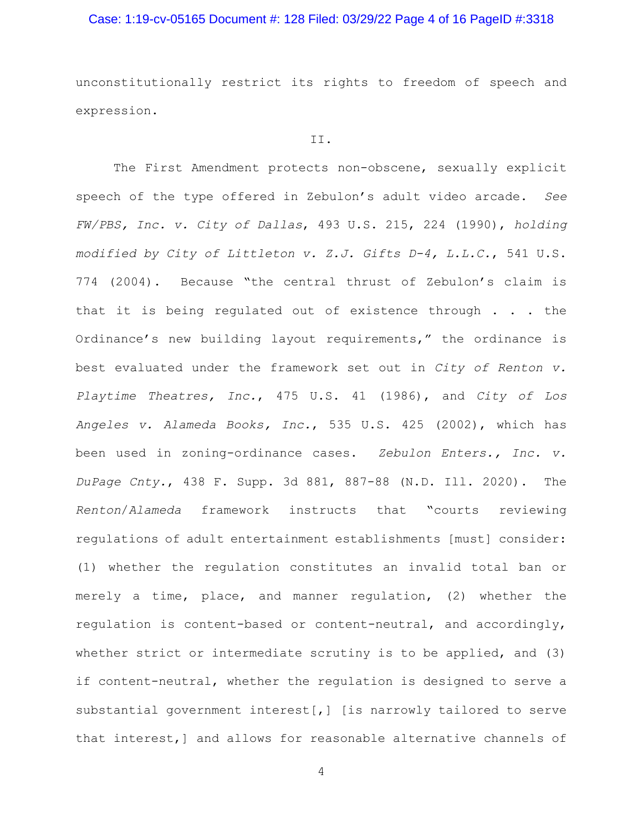## Case: 1:19-cv-05165 Document #: 128 Filed: 03/29/22 Page 4 of 16 PageID #:3318

unconstitutionally restrict its rights to freedom of speech and expression.

#### II.

 The First Amendment protects non-obscene, sexually explicit speech of the type offered in Zebulon's adult video arcade. *See FW/PBS, Inc. v. City of Dallas*, 493 U.S. 215, 224 (1990), *holding modified by City of Littleton v. Z.J. Gifts D-4, L.L.C.*, 541 U.S. 774 (2004). Because "the central thrust of Zebulon's claim is that it is being regulated out of existence through . . . the Ordinance's new building layout requirements," the ordinance is best evaluated under the framework set out in *City of Renton v. Playtime Theatres, Inc.*, 475 U.S. 41 (1986), and *City of Los Angeles v. Alameda Books, Inc.*, 535 U.S. 425 (2002), which has been used in zoning-ordinance cases. *Zebulon Enters., Inc. v. DuPage Cnty.*, 438 F. Supp. 3d 881, 887-88 (N.D. Ill. 2020). The *Renton*/*Alameda* framework instructs that "courts reviewing regulations of adult entertainment establishments [must] consider: (1) whether the regulation constitutes an invalid total ban or merely a time, place, and manner regulation, (2) whether the regulation is content-based or content-neutral, and accordingly, whether strict or intermediate scrutiny is to be applied, and (3) if content-neutral, whether the regulation is designed to serve a substantial government interest[,] [is narrowly tailored to serve that interest,] and allows for reasonable alternative channels of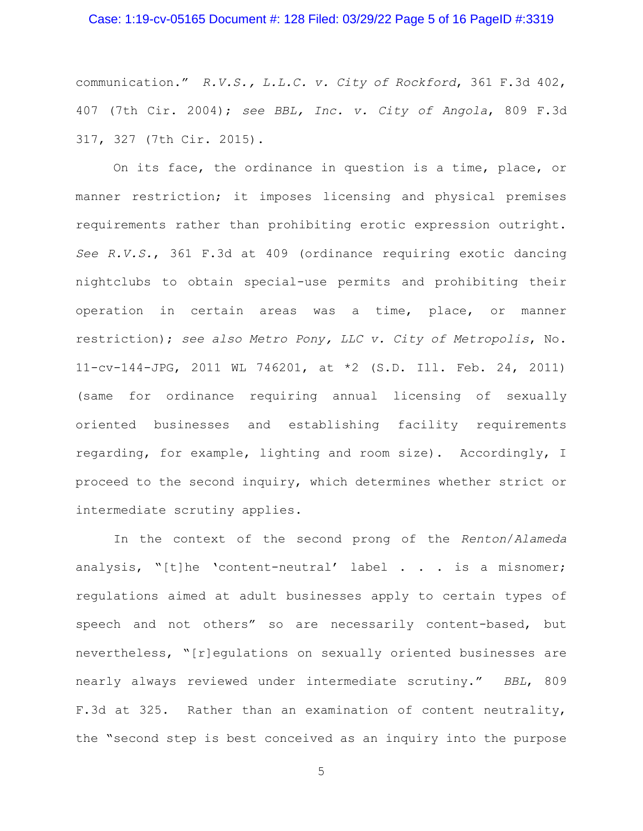### Case: 1:19-cv-05165 Document #: 128 Filed: 03/29/22 Page 5 of 16 PageID #:3319

communication." *R.V.S., L.L.C. v. City of Rockford*, 361 F.3d 402, 407 (7th Cir. 2004); *see BBL, Inc. v. City of Angola*, 809 F.3d 317, 327 (7th Cir. 2015).

 On its face, the ordinance in question is a time, place, or manner restriction; it imposes licensing and physical premises requirements rather than prohibiting erotic expression outright. *See R.V.S.*, 361 F.3d at 409 (ordinance requiring exotic dancing nightclubs to obtain special-use permits and prohibiting their operation in certain areas was a time, place, or manner restriction); *see also Metro Pony, LLC v. City of Metropolis*, No. 11-cv-144-JPG, 2011 WL 746201, at \*2 (S.D. Ill. Feb. 24, 2011) (same for ordinance requiring annual licensing of sexually oriented businesses and establishing facility requirements regarding, for example, lighting and room size). Accordingly, I proceed to the second inquiry, which determines whether strict or intermediate scrutiny applies.

 In the context of the second prong of the *Renton*/*Alameda* analysis, "[t]he 'content-neutral' label . . . is a misnomer; regulations aimed at adult businesses apply to certain types of speech and not others" so are necessarily content-based, but nevertheless, "[r]egulations on sexually oriented businesses are nearly always reviewed under intermediate scrutiny." *BBL*, 809 F.3d at 325. Rather than an examination of content neutrality, the "second step is best conceived as an inquiry into the purpose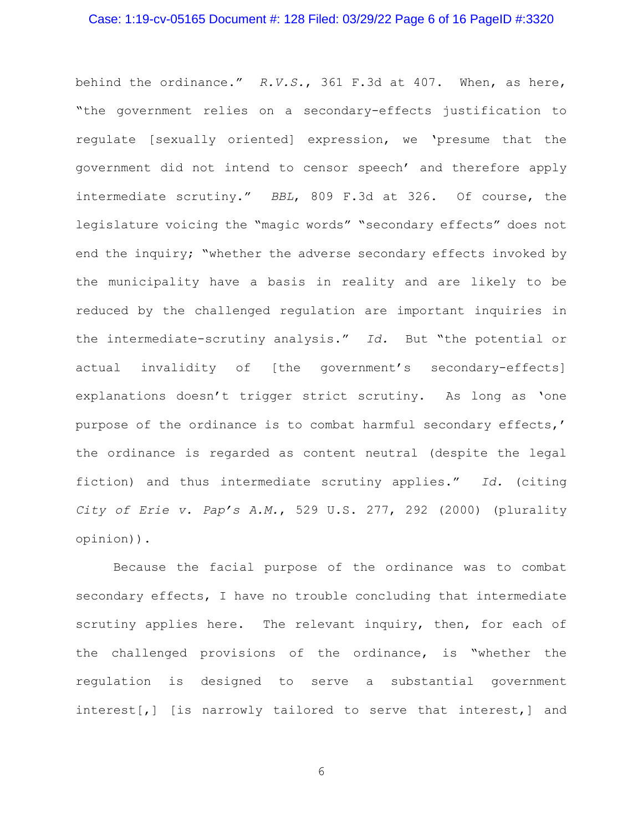#### Case: 1:19-cv-05165 Document #: 128 Filed: 03/29/22 Page 6 of 16 PageID #:3320

behind the ordinance." *R.V.S.*, 361 F.3d at 407. When, as here, "the government relies on a secondary-effects justification to regulate [sexually oriented] expression, we 'presume that the government did not intend to censor speech' and therefore apply intermediate scrutiny." *BBL*, 809 F.3d at 326. Of course, the legislature voicing the "magic words" "secondary effects" does not end the inquiry; "whether the adverse secondary effects invoked by the municipality have a basis in reality and are likely to be reduced by the challenged regulation are important inquiries in the intermediate-scrutiny analysis." *Id.* But "the potential or actual invalidity of [the government's secondary-effects] explanations doesn't trigger strict scrutiny. As long as 'one purpose of the ordinance is to combat harmful secondary effects,' the ordinance is regarded as content neutral (despite the legal fiction) and thus intermediate scrutiny applies." *Id.* (citing *City of Erie v. Pap's A.M.*, 529 U.S. 277, 292 (2000) (plurality opinion)).

 Because the facial purpose of the ordinance was to combat secondary effects, I have no trouble concluding that intermediate scrutiny applies here. The relevant inquiry, then, for each of the challenged provisions of the ordinance, is "whether the regulation is designed to serve a substantial government interest[,] [is narrowly tailored to serve that interest,] and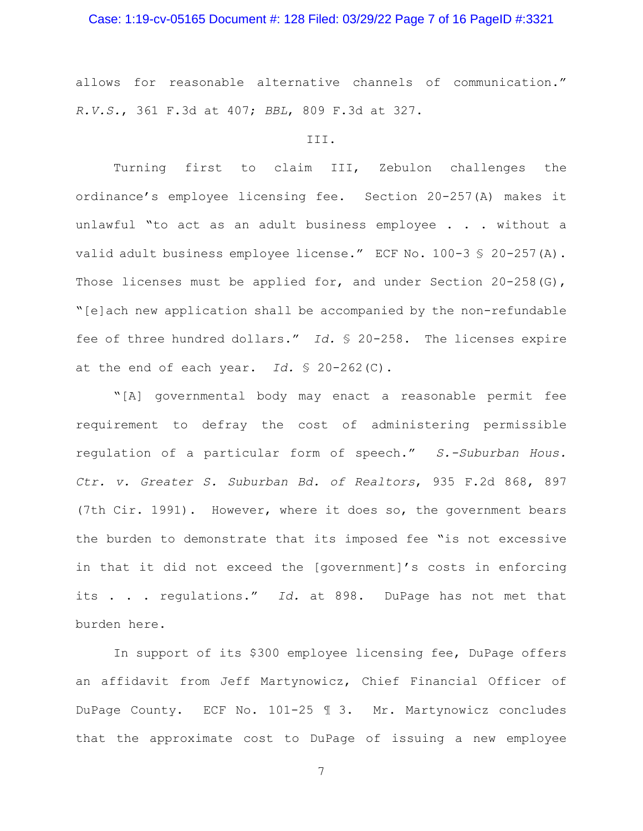## Case: 1:19-cv-05165 Document #: 128 Filed: 03/29/22 Page 7 of 16 PageID #:3321

allows for reasonable alternative channels of communication." *R.V.S.*, 361 F.3d at 407; *BBL*, 809 F.3d at 327.

#### III.

 Turning first to claim III, Zebulon challenges the ordinance's employee licensing fee. Section 20-257(A) makes it unlawful "to act as an adult business employee . . . without a valid adult business employee license." ECF No. 100-3 § 20-257(A). Those licenses must be applied for, and under Section  $20-258(G)$ , "[e]ach new application shall be accompanied by the non-refundable fee of three hundred dollars." *Id.* § 20-258. The licenses expire at the end of each year. *Id.* § 20-262(C).

 "[A] governmental body may enact a reasonable permit fee requirement to defray the cost of administering permissible regulation of a particular form of speech." *S.-Suburban Hous. Ctr. v. Greater S. Suburban Bd. of Realtors*, 935 F.2d 868, 897 (7th Cir. 1991). However, where it does so, the government bears the burden to demonstrate that its imposed fee "is not excessive in that it did not exceed the [government]'s costs in enforcing its . . . regulations." *Id.* at 898. DuPage has not met that burden here.

In support of its \$300 employee licensing fee, DuPage offers an affidavit from Jeff Martynowicz, Chief Financial Officer of DuPage County. ECF No. 101-25 ¶ 3. Mr. Martynowicz concludes that the approximate cost to DuPage of issuing a new employee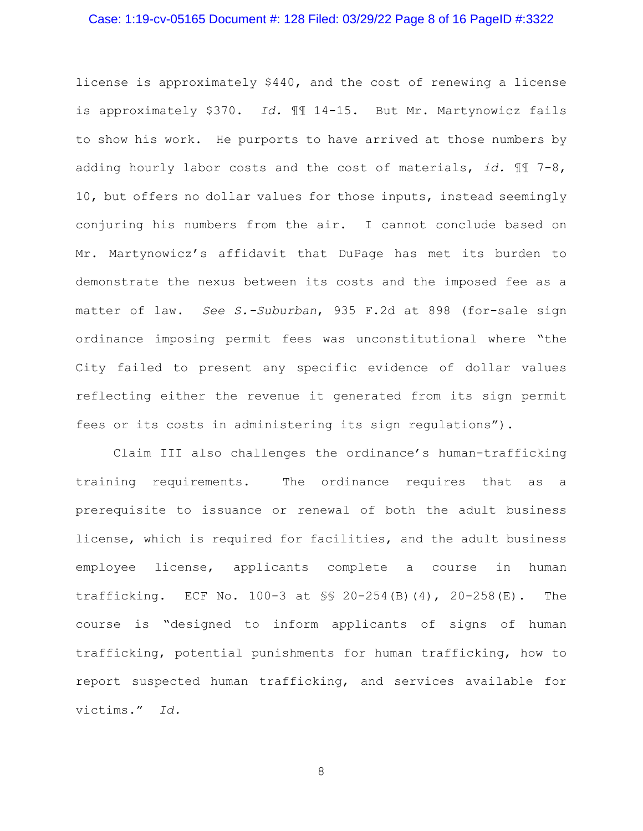### Case: 1:19-cv-05165 Document #: 128 Filed: 03/29/22 Page 8 of 16 PageID #:3322

license is approximately \$440, and the cost of renewing a license is approximately \$370. *Id.* ¶¶ 14-15. But Mr. Martynowicz fails to show his work. He purports to have arrived at those numbers by adding hourly labor costs and the cost of materials, *id.* ¶¶ 7-8, 10, but offers no dollar values for those inputs, instead seemingly conjuring his numbers from the air. I cannot conclude based on Mr. Martynowicz's affidavit that DuPage has met its burden to demonstrate the nexus between its costs and the imposed fee as a matter of law. *See S.-Suburban*, 935 F.2d at 898 (for-sale sign ordinance imposing permit fees was unconstitutional where "the City failed to present any specific evidence of dollar values reflecting either the revenue it generated from its sign permit fees or its costs in administering its sign regulations").

Claim III also challenges the ordinance's human-trafficking training requirements. The ordinance requires that as a prerequisite to issuance or renewal of both the adult business license, which is required for facilities, and the adult business employee license, applicants complete a course in human trafficking. ECF No. 100-3 at §§ 20-254(B)(4), 20-258(E). The course is "designed to inform applicants of signs of human trafficking, potential punishments for human trafficking, how to report suspected human trafficking, and services available for victims." *Id.*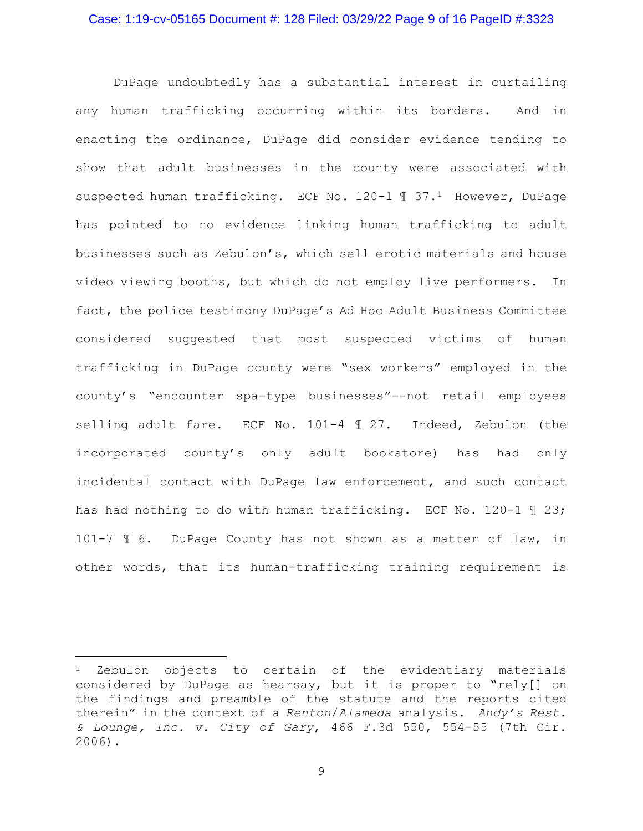DuPage undoubtedly has a substantial interest in curtailing any human trafficking occurring within its borders. And in enacting the ordinance, DuPage did consider evidence tending to show that adult businesses in the county were associated with suspected human trafficking. ECF No. 120-1 1 37.<sup>1</sup> However, DuPage has pointed to no evidence linking human trafficking to adult businesses such as Zebulon's, which sell erotic materials and house video viewing booths, but which do not employ live performers. In fact, the police testimony DuPage's Ad Hoc Adult Business Committee considered suggested that most suspected victims of human trafficking in DuPage county were "sex workers" employed in the county's "encounter spa-type businesses"--not retail employees selling adult fare. ECF No. 101-4  $\text{\textsterling}$  27. Indeed, Zebulon (the incorporated county's only adult bookstore) has had only incidental contact with DuPage law enforcement, and such contact has had nothing to do with human trafficking. ECF No. 120-1 ¶ 23; 101-7 ¶ 6. DuPage County has not shown as a matter of law, in other words, that its human-trafficking training requirement is

<sup>&</sup>lt;sup>1</sup> Zebulon objects to certain of the evidentiary materials considered by DuPage as hearsay, but it is proper to "rely[] on the findings and preamble of the statute and the reports cited therein" in the context of a *Renton*/*Alameda* analysis. *Andy's Rest. & Lounge, Inc. v. City of Gary*, 466 F.3d 550, 554-55 (7th Cir. 2006).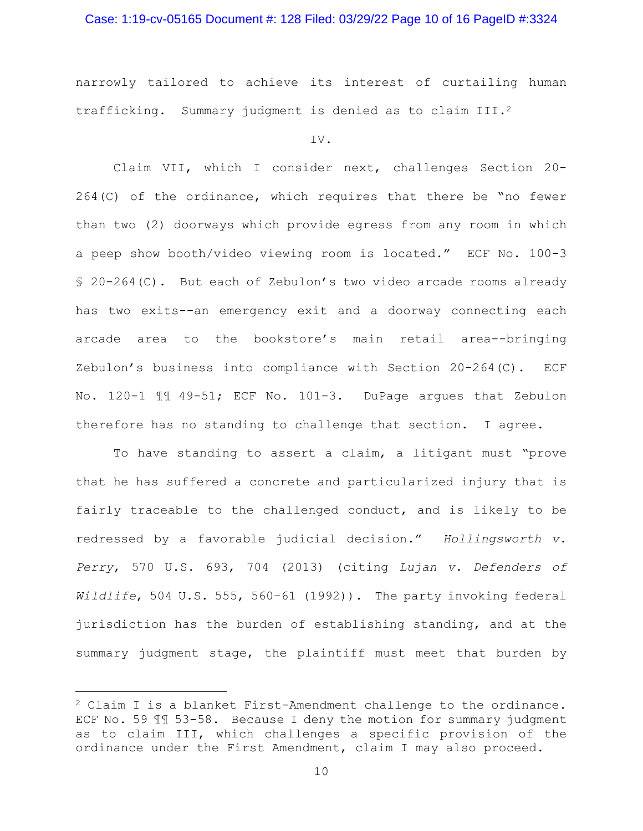# Case: 1:19-cv-05165 Document #: 128 Filed: 03/29/22 Page 10 of 16 PageID #:3324

narrowly tailored to achieve its interest of curtailing human trafficking. Summary judgment is denied as to claim III.<sup>2</sup>

IV.

 Claim VII, which I consider next, challenges Section 20- 264(C) of the ordinance, which requires that there be "no fewer than two (2) doorways which provide egress from any room in which a peep show booth/video viewing room is located." ECF No. 100-3 § 20-264(C). But each of Zebulon's two video arcade rooms already has two exits--an emergency exit and a doorway connecting each arcade area to the bookstore's main retail area--bringing Zebulon's business into compliance with Section 20-264(C). ECF No. 120-1 ¶¶ 49-51; ECF No. 101-3. DuPage argues that Zebulon therefore has no standing to challenge that section. I agree.

 To have standing to assert a claim, a litigant must "prove that he has suffered a concrete and particularized injury that is fairly traceable to the challenged conduct, and is likely to be redressed by a favorable judicial decision." *Hollingsworth v. Perry*, 570 U.S. 693, 704 (2013) (citing *Lujan v. Defenders of Wildlife*, 504 U.S. 555, 560–61 (1992)). The party invoking federal jurisdiction has the burden of establishing standing, and at the summary judgment stage, the plaintiff must meet that burden by

<sup>2</sup> Claim I is a blanket First-Amendment challenge to the ordinance. ECF No. 59 ¶¶ 53-58. Because I deny the motion for summary judgment as to claim III, which challenges a specific provision of the ordinance under the First Amendment, claim I may also proceed.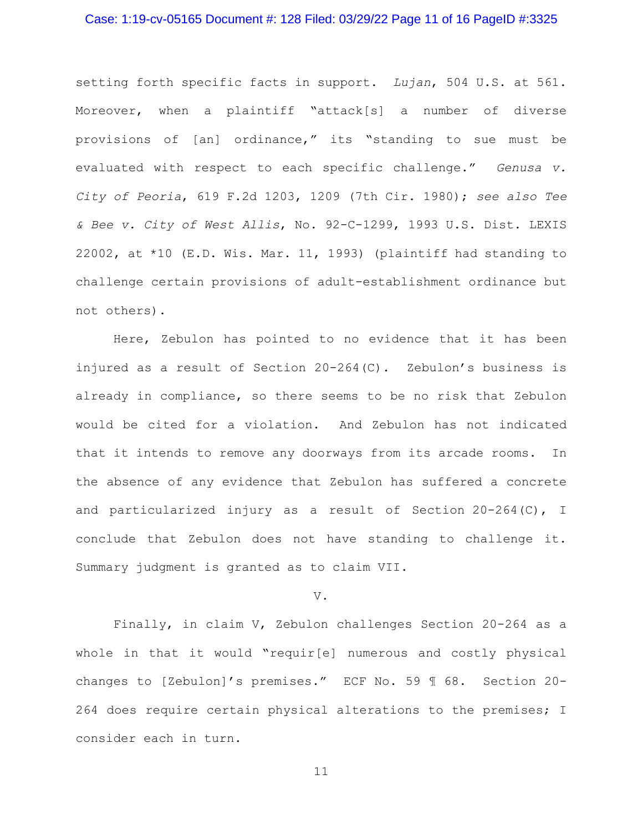## Case: 1:19-cv-05165 Document #: 128 Filed: 03/29/22 Page 11 of 16 PageID #:3325

setting forth specific facts in support. *Lujan*, 504 U.S. at 561. Moreover, when a plaintiff "attack[s] a number of diverse provisions of [an] ordinance," its "standing to sue must be evaluated with respect to each specific challenge." *Genusa v. City of Peoria*, 619 F.2d 1203, 1209 (7th Cir. 1980); *see also Tee & Bee v. City of West Allis*, No. 92-C-1299, 1993 U.S. Dist. LEXIS 22002, at \*10 (E.D. Wis. Mar. 11, 1993) (plaintiff had standing to challenge certain provisions of adult-establishment ordinance but not others).

 Here, Zebulon has pointed to no evidence that it has been injured as a result of Section 20-264(C). Zebulon's business is already in compliance, so there seems to be no risk that Zebulon would be cited for a violation. And Zebulon has not indicated that it intends to remove any doorways from its arcade rooms. In the absence of any evidence that Zebulon has suffered a concrete and particularized injury as a result of Section 20-264(C), I conclude that Zebulon does not have standing to challenge it. Summary judgment is granted as to claim VII.

#### V.

 Finally, in claim V, Zebulon challenges Section 20-264 as a whole in that it would "requir[e] numerous and costly physical changes to [Zebulon]'s premises." ECF No. 59 ¶ 68. Section 20- 264 does require certain physical alterations to the premises; I consider each in turn.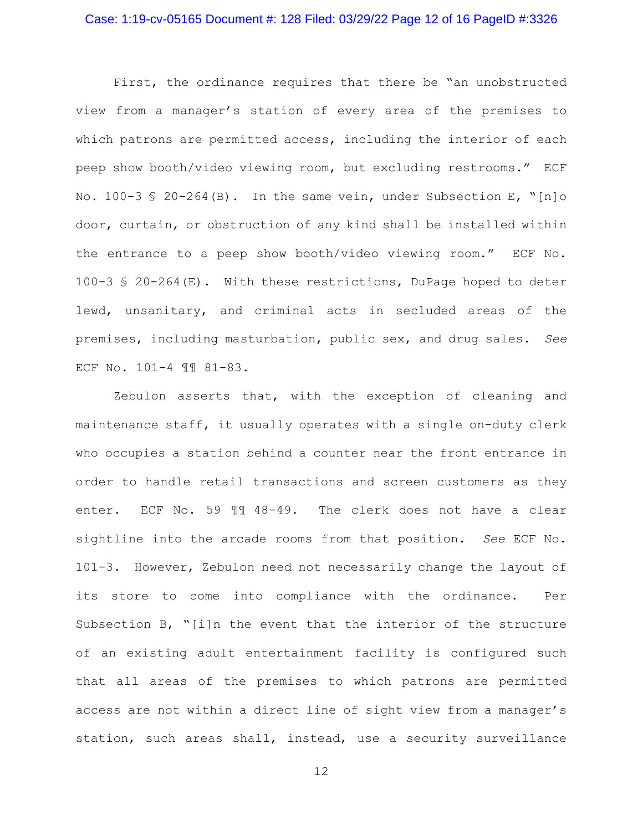## Case: 1:19-cv-05165 Document #: 128 Filed: 03/29/22 Page 12 of 16 PageID #:3326

 First, the ordinance requires that there be "an unobstructed view from a manager's station of every area of the premises to which patrons are permitted access, including the interior of each peep show booth/video viewing room, but excluding restrooms." ECF No.  $100-3 \text{ s } 20-264 \text{ (B)}$ . In the same vein, under Subsection E, "[n]o door, curtain, or obstruction of any kind shall be installed within the entrance to a peep show booth/video viewing room." ECF No. 100-3 § 20-264(E). With these restrictions, DuPage hoped to deter lewd, unsanitary, and criminal acts in secluded areas of the premises, including masturbation, public sex, and drug sales. *See*  ECF No. 101-4 ¶¶ 81-83.

Zebulon asserts that, with the exception of cleaning and maintenance staff, it usually operates with a single on-duty clerk who occupies a station behind a counter near the front entrance in order to handle retail transactions and screen customers as they enter. ECF No. 59 ¶¶ 48-49. The clerk does not have a clear sightline into the arcade rooms from that position. *See* ECF No. 101-3. However, Zebulon need not necessarily change the layout of its store to come into compliance with the ordinance. Per Subsection B, "[i]n the event that the interior of the structure of an existing adult entertainment facility is configured such that all areas of the premises to which patrons are permitted access are not within a direct line of sight view from a manager's station, such areas shall, instead, use a security surveillance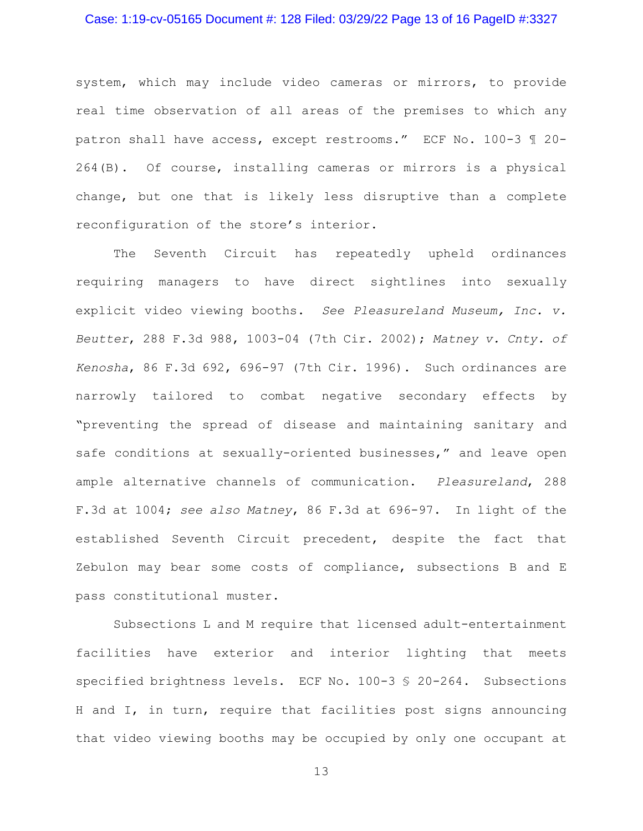## Case: 1:19-cv-05165 Document #: 128 Filed: 03/29/22 Page 13 of 16 PageID #:3327

system, which may include video cameras or mirrors, to provide real time observation of all areas of the premises to which any patron shall have access, except restrooms." ECF No. 100-3 ¶ 20- 264(B). Of course, installing cameras or mirrors is a physical change, but one that is likely less disruptive than a complete reconfiguration of the store's interior.

The Seventh Circuit has repeatedly upheld ordinances requiring managers to have direct sightlines into sexually explicit video viewing booths. *See Pleasureland Museum, Inc. v. Beutter*, 288 F.3d 988, 1003-04 (7th Cir. 2002); *Matney v. Cnty. of Kenosha*, 86 F.3d 692, 696-97 (7th Cir. 1996). Such ordinances are narrowly tailored to combat negative secondary effects by "preventing the spread of disease and maintaining sanitary and safe conditions at sexually-oriented businesses," and leave open ample alternative channels of communication. *Pleasureland*, 288 F.3d at 1004; *see also Matney*, 86 F.3d at 696-97. In light of the established Seventh Circuit precedent, despite the fact that Zebulon may bear some costs of compliance, subsections B and E pass constitutional muster.

Subsections L and M require that licensed adult-entertainment facilities have exterior and interior lighting that meets specified brightness levels. ECF No. 100-3 § 20-264. Subsections H and I, in turn, require that facilities post signs announcing that video viewing booths may be occupied by only one occupant at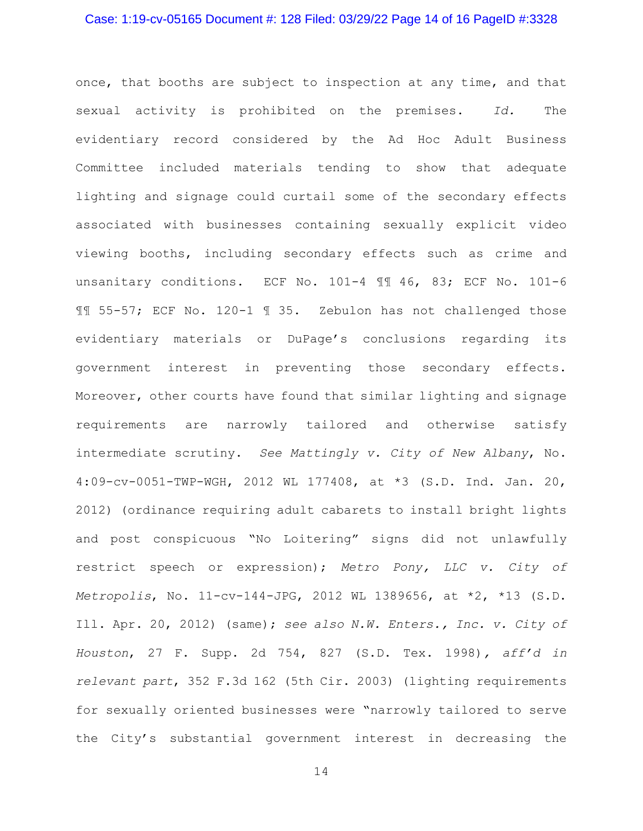### Case: 1:19-cv-05165 Document #: 128 Filed: 03/29/22 Page 14 of 16 PageID #:3328

once, that booths are subject to inspection at any time, and that sexual activity is prohibited on the premises. *Id.* The evidentiary record considered by the Ad Hoc Adult Business Committee included materials tending to show that adequate lighting and signage could curtail some of the secondary effects associated with businesses containing sexually explicit video viewing booths, including secondary effects such as crime and unsanitary conditions. ECF No. 101-4 ¶¶ 46, 83; ECF No. 101-6 ¶¶ 55-57; ECF No. 120-1 ¶ 35. Zebulon has not challenged those evidentiary materials or DuPage's conclusions regarding its government interest in preventing those secondary effects. Moreover, other courts have found that similar lighting and signage requirements are narrowly tailored and otherwise satisfy intermediate scrutiny. *See Mattingly v. City of New Albany*, No. 4:09-cv-0051-TWP-WGH, 2012 WL 177408, at \*3 (S.D. Ind. Jan. 20, 2012) (ordinance requiring adult cabarets to install bright lights and post conspicuous "No Loitering" signs did not unlawfully restrict speech or expression); *Metro Pony, LLC v. City of Metropolis*, No. 11-cv-144-JPG, 2012 WL 1389656, at \*2, \*13 (S.D. Ill. Apr. 20, 2012) (same); *see also N.W. Enters., Inc. v. City of Houston*, 27 F. Supp. 2d 754, 827 (S.D. Tex. 1998)*, aff'd in relevant part*, 352 F.3d 162 (5th Cir. 2003) (lighting requirements for sexually oriented businesses were "narrowly tailored to serve the City's substantial government interest in decreasing the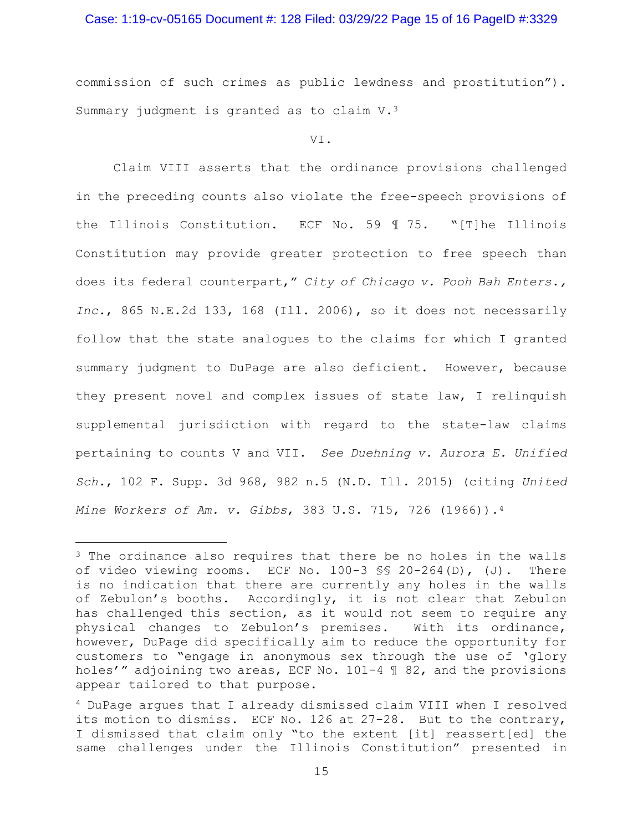#### Case: 1:19-cv-05165 Document #: 128 Filed: 03/29/22 Page 15 of 16 PageID #:3329

commission of such crimes as public lewdness and prostitution"). Summary judgment is granted as to claim V.3

VI.

 Claim VIII asserts that the ordinance provisions challenged in the preceding counts also violate the free-speech provisions of the Illinois Constitution. ECF No. 59 ¶ 75. "[T]he Illinois Constitution may provide greater protection to free speech than does its federal counterpart," *City of Chicago v. Pooh Bah Enters., Inc.*, 865 N.E.2d 133, 168 (Ill. 2006), so it does not necessarily follow that the state analogues to the claims for which I granted summary judgment to DuPage are also deficient. However, because they present novel and complex issues of state law, I relinquish supplemental jurisdiction with regard to the state-law claims pertaining to counts V and VII. *See Duehning v. Aurora E. Unified Sch.*, 102 F. Supp. 3d 968, 982 n.5 (N.D. Ill. 2015) (citing *United Mine Workers of Am. v. Gibbs*, 383 U.S. 715, 726 (1966)).4

<sup>&</sup>lt;sup>3</sup> The ordinance also requires that there be no holes in the walls of video viewing rooms. ECF No. 100-3 §§ 20-264(D), (J). There is no indication that there are currently any holes in the walls of Zebulon's booths. Accordingly, it is not clear that Zebulon has challenged this section, as it would not seem to require any physical changes to Zebulon's premises. With its ordinance, however, DuPage did specifically aim to reduce the opportunity for customers to "engage in anonymous sex through the use of 'glory holes'" adjoining two areas, ECF No. 101-4 ¶ 82, and the provisions appear tailored to that purpose.

<sup>4</sup> DuPage argues that I already dismissed claim VIII when I resolved its motion to dismiss. ECF No. 126 at 27-28. But to the contrary, I dismissed that claim only "to the extent [it] reassert[ed] the same challenges under the Illinois Constitution" presented in